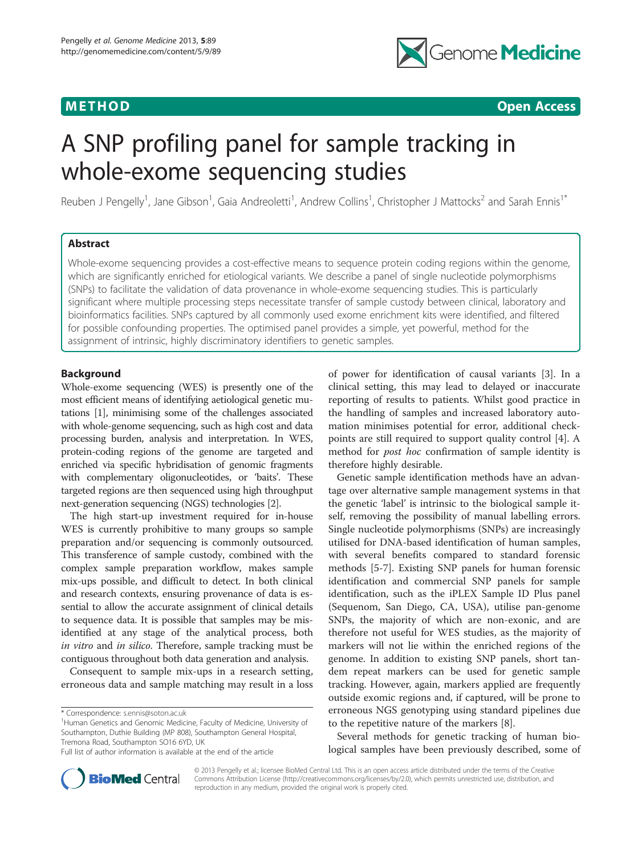

# **METHOD CONSUMING ACCESS CONSUMING ACCESS**

# A SNP profiling panel for sample tracking in whole-exome sequencing studies

Reuben J Pengelly<sup>1</sup>, Jane Gibson<sup>1</sup>, Gaia Andreoletti<sup>1</sup>, Andrew Collins<sup>1</sup>, Christopher J Mattocks<sup>2</sup> and Sarah Ennis<sup>1\*</sup>

# Abstract

Whole-exome sequencing provides a cost-effective means to sequence protein coding regions within the genome, which are significantly enriched for etiological variants. We describe a panel of single nucleotide polymorphisms (SNPs) to facilitate the validation of data provenance in whole-exome sequencing studies. This is particularly significant where multiple processing steps necessitate transfer of sample custody between clinical, laboratory and bioinformatics facilities. SNPs captured by all commonly used exome enrichment kits were identified, and filtered for possible confounding properties. The optimised panel provides a simple, yet powerful, method for the assignment of intrinsic, highly discriminatory identifiers to genetic samples.

#### Background

Whole-exome sequencing (WES) is presently one of the most efficient means of identifying aetiological genetic mutations [\[1](#page-6-0)], minimising some of the challenges associated with whole-genome sequencing, such as high cost and data processing burden, analysis and interpretation. In WES, protein-coding regions of the genome are targeted and enriched via specific hybridisation of genomic fragments with complementary oligonucleotides, or 'baits'. These targeted regions are then sequenced using high throughput next-generation sequencing (NGS) technologies [\[2\]](#page-6-0).

The high start-up investment required for in-house WES is currently prohibitive to many groups so sample preparation and/or sequencing is commonly outsourced. This transference of sample custody, combined with the complex sample preparation workflow, makes sample mix-ups possible, and difficult to detect. In both clinical and research contexts, ensuring provenance of data is essential to allow the accurate assignment of clinical details to sequence data. It is possible that samples may be misidentified at any stage of the analytical process, both in vitro and in silico. Therefore, sample tracking must be contiguous throughout both data generation and analysis.

Consequent to sample mix-ups in a research setting, erroneous data and sample matching may result in a loss

\* Correspondence: [s.ennis@soton.ac.uk](mailto:s.ennis@soton.ac.uk) <sup>1</sup>

<sup>1</sup>Human Genetics and Genomic Medicine, Faculty of Medicine, University of Southampton, Duthie Building (MP 808), Southampton General Hospital, Tremona Road, Southampton SO16 6YD, UK

of power for identification of causal variants [[3](#page-6-0)]. In a clinical setting, this may lead to delayed or inaccurate reporting of results to patients. Whilst good practice in the handling of samples and increased laboratory automation minimises potential for error, additional checkpoints are still required to support quality control [\[4\]](#page-6-0). A method for *post hoc* confirmation of sample identity is therefore highly desirable.

Genetic sample identification methods have an advantage over alternative sample management systems in that the genetic 'label' is intrinsic to the biological sample itself, removing the possibility of manual labelling errors. Single nucleotide polymorphisms (SNPs) are increasingly utilised for DNA-based identification of human samples, with several benefits compared to standard forensic methods [\[5-7](#page-6-0)]. Existing SNP panels for human forensic identification and commercial SNP panels for sample identification, such as the iPLEX Sample ID Plus panel (Sequenom, San Diego, CA, USA), utilise pan-genome SNPs, the majority of which are non-exonic, and are therefore not useful for WES studies, as the majority of markers will not lie within the enriched regions of the genome. In addition to existing SNP panels, short tandem repeat markers can be used for genetic sample tracking. However, again, markers applied are frequently outside exomic regions and, if captured, will be prone to erroneous NGS genotyping using standard pipelines due to the repetitive nature of the markers [[8\]](#page-6-0).

Several methods for genetic tracking of human biological samples have been previously described, some of



© 2013 Pengelly et al.; licensee BioMed Central Ltd. This is an open access article distributed under the terms of the Creative Commons Attribution License [\(http://creativecommons.org/licenses/by/2.0\)](http://creativecommons.org/licenses/by/2.0), which permits unrestricted use, distribution, and reproduction in any medium, provided the original work is properly cited.

Full list of author information is available at the end of the article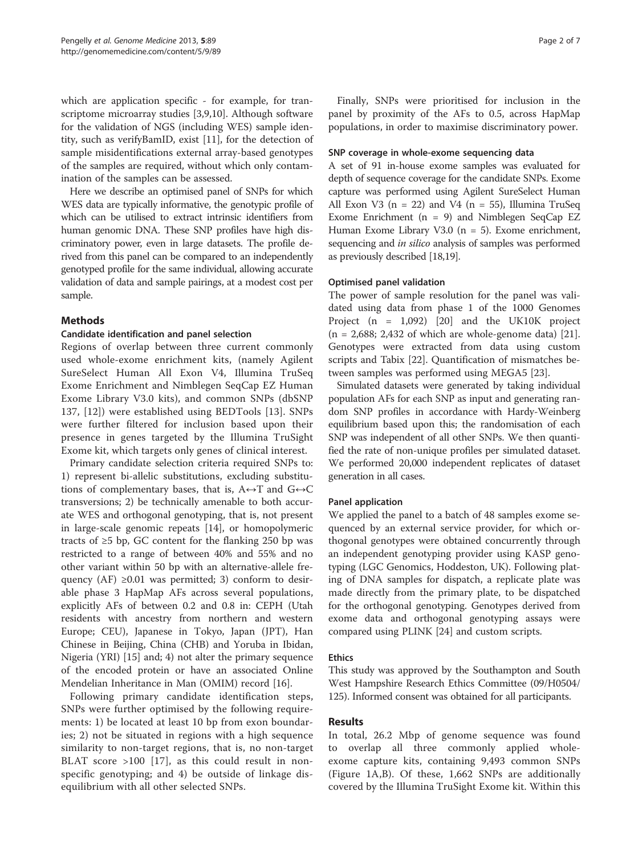<span id="page-1-0"></span>which are application specific - for example, for transcriptome microarray studies [\[3,9,10](#page-6-0)]. Although software for the validation of NGS (including WES) sample identity, such as verifyBamID, exist [\[11](#page-6-0)], for the detection of sample misidentifications external array-based genotypes of the samples are required, without which only contamination of the samples can be assessed.

Here we describe an optimised panel of SNPs for which WES data are typically informative, the genotypic profile of which can be utilised to extract intrinsic identifiers from human genomic DNA. These SNP profiles have high discriminatory power, even in large datasets. The profile derived from this panel can be compared to an independently genotyped profile for the same individual, allowing accurate validation of data and sample pairings, at a modest cost per sample.

# **Mathods**

#### Candidate identification and panel selection

Regions of overlap between three current commonly used whole-exome enrichment kits, (namely Agilent SureSelect Human All Exon V4, Illumina TruSeq Exome Enrichment and Nimblegen SeqCap EZ Human Exome Library V3.0 kits), and common SNPs (dbSNP 137, [[12](#page-6-0)]) were established using BEDTools [\[13](#page-6-0)]. SNPs were further filtered for inclusion based upon their presence in genes targeted by the Illumina TruSight Exome kit, which targets only genes of clinical interest.

Primary candidate selection criteria required SNPs to: 1) represent bi-allelic substitutions, excluding substitutions of complementary bases, that is,  $A \leftrightarrow T$  and  $G \leftrightarrow C$ transversions; 2) be technically amenable to both accurate WES and orthogonal genotyping, that is, not present in large-scale genomic repeats [\[14\]](#page-6-0), or homopolymeric tracts of  $\geq 5$  bp, GC content for the flanking 250 bp was restricted to a range of between 40% and 55% and no other variant within 50 bp with an alternative-allele frequency (AF)  $\geq 0.01$  was permitted; 3) conform to desirable phase 3 HapMap AFs across several populations, explicitly AFs of between 0.2 and 0.8 in: CEPH (Utah residents with ancestry from northern and western Europe; CEU), Japanese in Tokyo, Japan (JPT), Han Chinese in Beijing, China (CHB) and Yoruba in Ibidan, Nigeria (YRI) [[15](#page-6-0)] and; 4) not alter the primary sequence of the encoded protein or have an associated Online Mendelian Inheritance in Man (OMIM) record [\[16](#page-6-0)].

Following primary candidate identification steps, SNPs were further optimised by the following requirements: 1) be located at least 10 bp from exon boundaries; 2) not be situated in regions with a high sequence similarity to non-target regions, that is, no non-target BLAT score >100 [\[17](#page-6-0)], as this could result in nonspecific genotyping; and 4) be outside of linkage disequilibrium with all other selected SNPs.

Finally, SNPs were prioritised for inclusion in the panel by proximity of the AFs to 0.5, across HapMap populations, in order to maximise discriminatory power.

#### SNP coverage in whole-exome sequencing data

A set of 91 in-house exome samples was evaluated for depth of sequence coverage for the candidate SNPs. Exome capture was performed using Agilent SureSelect Human All Exon V3 ( $n = 22$ ) and V4 ( $n = 55$ ), Illumina TruSeq Exome Enrichment (n = 9) and Nimblegen SeqCap EZ Human Exome Library V3.0 (n = 5). Exome enrichment, sequencing and *in silico* analysis of samples was performed as previously described [\[18,19](#page-6-0)].

# Optimised panel validation

The power of sample resolution for the panel was validated using data from phase 1 of the 1000 Genomes Project  $(n = 1,092)$  [[20](#page-6-0)] and the UK10K project  $(n = 2,688; 2,432$  of which are whole-genome data) [\[21](#page-6-0)]. Genotypes were extracted from data using custom scripts and Tabix [[22\]](#page-6-0). Quantification of mismatches between samples was performed using MEGA5 [\[23](#page-6-0)].

Simulated datasets were generated by taking individual population AFs for each SNP as input and generating random SNP profiles in accordance with Hardy-Weinberg equilibrium based upon this; the randomisation of each SNP was independent of all other SNPs. We then quantified the rate of non-unique profiles per simulated dataset. We performed 20,000 independent replicates of dataset generation in all cases.

# Panel application

We applied the panel to a batch of 48 samples exome sequenced by an external service provider, for which orthogonal genotypes were obtained concurrently through an independent genotyping provider using KASP genotyping (LGC Genomics, Hoddeston, UK). Following plating of DNA samples for dispatch, a replicate plate was made directly from the primary plate, to be dispatched for the orthogonal genotyping. Genotypes derived from exome data and orthogonal genotyping assays were compared using PLINK [\[24](#page-6-0)] and custom scripts.

# Ethics

This study was approved by the Southampton and South West Hampshire Research Ethics Committee (09/H0504/ 125). Informed consent was obtained for all participants.

# Results

In total, 26.2 Mbp of genome sequence was found to overlap all three commonly applied wholeexome capture kits, containing 9,493 common SNPs (Figure [1A](#page-2-0),B). Of these, 1,662 SNPs are additionally covered by the Illumina TruSight Exome kit. Within this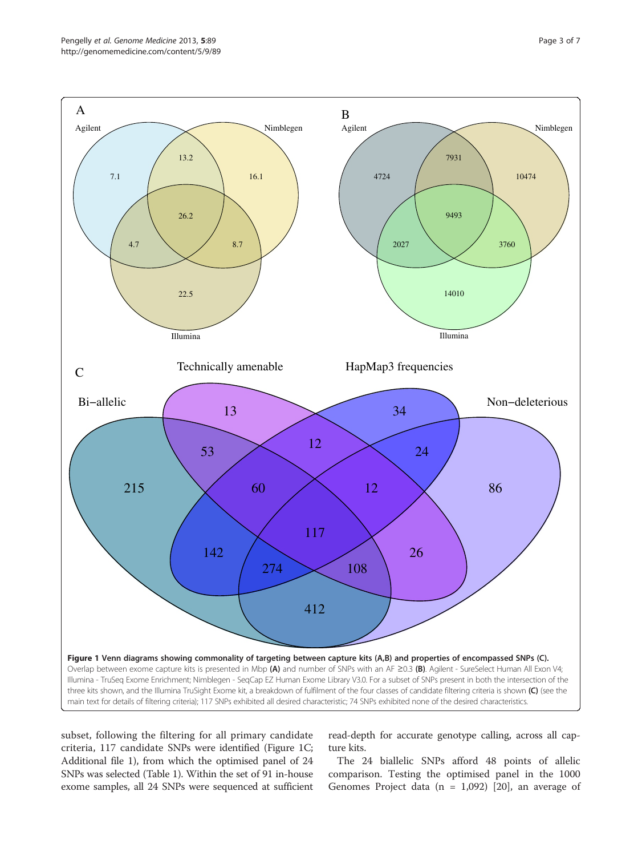<span id="page-2-0"></span>

subset, following the filtering for all primary candidate criteria, 117 candidate SNPs were identified (Figure 1C; Additional file [1\)](#page-5-0), from which the optimised panel of 24 SNPs was selected (Table [1](#page-3-0)). Within the set of 91 in-house exome samples, all 24 SNPs were sequenced at sufficient

read-depth for accurate genotype calling, across all capture kits.

The 24 biallelic SNPs afford 48 points of allelic comparison. Testing the optimised panel in the 1000 Genomes Project data ( $n = 1,092$ ) [[20\]](#page-6-0), an average of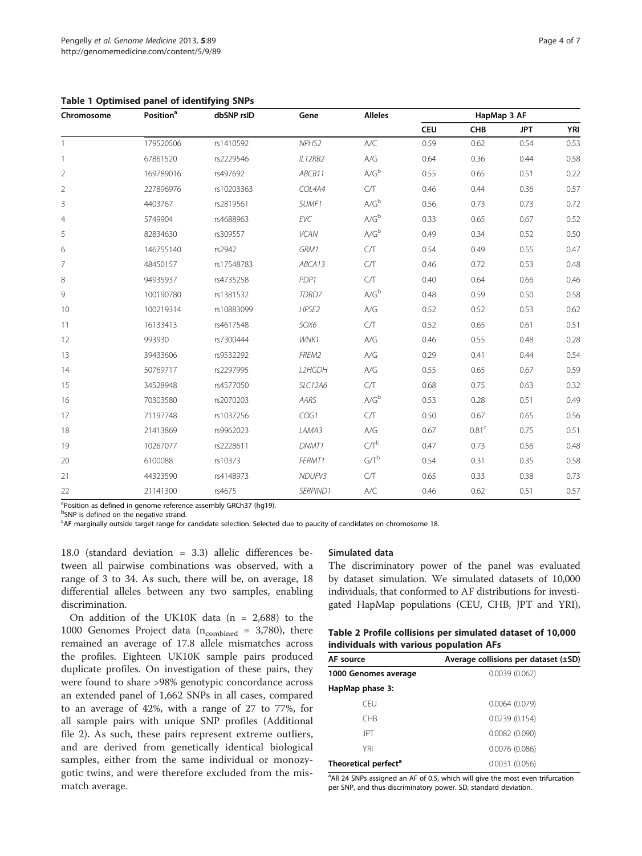<span id="page-3-0"></span>Table 1 Optimised panel of identifying SNPs

| Chromosome     | Position <sup>a</sup> | dbSNP rsID | Gene        | <b>Alleles</b> | HapMap 3 AF |                   |            |            |  |  |  |  |  |  |
|----------------|-----------------------|------------|-------------|----------------|-------------|-------------------|------------|------------|--|--|--|--|--|--|
|                |                       |            |             |                | <b>CEU</b>  | <b>CHB</b>        | <b>JPT</b> | <b>YRI</b> |  |  |  |  |  |  |
| 1              | 179520506             | rs1410592  | NPHS2       | A/C            | 0.59        | 0.62              | 0.54       | 0.53       |  |  |  |  |  |  |
| 1              | 67861520              | rs2229546  | IL12RB2     | A/G            | 0.64        | 0.36              | 0.44       | 0.58       |  |  |  |  |  |  |
| $\overline{2}$ | 169789016             | rs497692   | ABCB11      | $A/G^b$        | 0.55        | 0.65              | 0.51       | 0.22       |  |  |  |  |  |  |
| $\overline{2}$ | 227896976             | rs10203363 | COL4A4      | C/T            | 0.46        | 0.44              | 0.36       | 0.57       |  |  |  |  |  |  |
| 3              | 4403767               | rs2819561  | SUMF1       | $A/G^b$        | 0.56        | 0.73              | 0.73       | 0.72       |  |  |  |  |  |  |
| $\overline{4}$ | 5749904               | rs4688963  | <b>EVC</b>  | $A/G^b$        | 0.33        | 0.65              | 0.67       | 0.52       |  |  |  |  |  |  |
| 5              | 82834630              | rs309557   | <b>VCAN</b> | $A/G^b$        | 0.49        | 0.34              | 0.52       | 0.50       |  |  |  |  |  |  |
| 6              | 146755140             | rs2942     | GRM1        | C/T            | 0.54        | 0.49              | 0.55       | 0.47       |  |  |  |  |  |  |
| 7              | 48450157              | rs17548783 | ABCA13      | C/T            | 0.46        | 0.72              | 0.53       | 0.48       |  |  |  |  |  |  |
| 8              | 94935937              | rs4735258  | PDP1        | C/T            | 0.40        | 0.64              | 0.66       | 0.46       |  |  |  |  |  |  |
| 9              | 100190780             | rs1381532  | TDRD7       | $A/G^b$        | 0.48        | 0.59              | 0.50       | 0.58       |  |  |  |  |  |  |
| 10             | 100219314             | rs10883099 | HPSE2       | A/G            | 0.52        | 0.52              | 0.53       | 0.62       |  |  |  |  |  |  |
| 11             | 16133413              | rs4617548  | SOX6        | C/T            | 0.52        | 0.65              | 0.61       | 0.51       |  |  |  |  |  |  |
| 12             | 993930                | rs7300444  | WNK1        | A/G            | 0.46        | 0.55              | 0.48       | 0.28       |  |  |  |  |  |  |
| 13             | 39433606              | rs9532292  | FREM2       | A/G            | 0.29        | 0.41              | 0.44       | 0.54       |  |  |  |  |  |  |
| 14             | 50769717              | rs2297995  | L2HGDH      | A/G            | 0.55        | 0.65              | 0.67       | 0.59       |  |  |  |  |  |  |
| 15             | 34528948              | rs4577050  | SLC12A6     | C/T            | 0.68        | 0.75              | 0.63       | 0.32       |  |  |  |  |  |  |
| 16             | 70303580              | rs2070203  | AARS        | $A/G^b$        | 0.53        | 0.28              | 0.51       | 0.49       |  |  |  |  |  |  |
| 17             | 71197748              | rs1037256  | COG1        | C/T            | 0.50        | 0.67              | 0.65       | 0.56       |  |  |  |  |  |  |
| 18             | 21413869              | rs9962023  | LAMA3       | A/G            | 0.67        | 0.81 <sup>c</sup> | 0.75       | 0.51       |  |  |  |  |  |  |
| 19             | 10267077              | rs2228611  | DNMT1       | $C/T^b$        | 0.47        | 0.73              | 0.56       | 0.48       |  |  |  |  |  |  |
| 20             | 6100088               | rs10373    | FERMT1      | $G/T^b$        | 0.54        | 0.31              | 0.35       | 0.58       |  |  |  |  |  |  |
| 21             | 44323590              | rs4148973  | NDUFV3      | C/T            | 0.65        | 0.33              | 0.38       | 0.73       |  |  |  |  |  |  |
| 22             | 21141300              | rs4675     | SERPIND1    | A/C            | 0.46        | 0.62              | 0.51       | 0.57       |  |  |  |  |  |  |

<sup>a</sup>Position as defined in genome reference assembly GRCh37 (hg19).

<sup>b</sup>SNP is defined on the negative strand.

c AF marginally outside target range for candidate selection. Selected due to paucity of candidates on chromosome 18.

18.0 (standard deviation = 3.3) allelic differences between all pairwise combinations was observed, with a range of 3 to 34. As such, there will be, on average, 18 differential alleles between any two samples, enabling discrimination.

On addition of the UK10K data (n = 2,688) to the 1000 Genomes Project data ( $n_{\text{combined}} = 3,780$ ), there remained an average of 17.8 allele mismatches across the profiles. Eighteen UK10K sample pairs produced duplicate profiles. On investigation of these pairs, they were found to share >98% genotypic concordance across an extended panel of 1,662 SNPs in all cases, compared to an average of 42%, with a range of 27 to 77%, for all sample pairs with unique SNP profiles (Additional file [2](#page-5-0)). As such, these pairs represent extreme outliers, and are derived from genetically identical biological samples, either from the same individual or monozygotic twins, and were therefore excluded from the mismatch average.

#### Simulated data

The discriminatory power of the panel was evaluated by dataset simulation. We simulated datasets of 10,000 individuals, that conformed to AF distributions for investigated HapMap populations (CEU, CHB, JPT and YRI),

# Table 2 Profile collisions per simulated dataset of 10,000 individuals with various population AFs

| AF source                        | Average collisions per dataset (±SD) |
|----------------------------------|--------------------------------------|
| 1000 Genomes average             | 0.0039(0.062)                        |
| HapMap phase 3:                  |                                      |
| <b>CFU</b>                       | 0.0064(0.079)                        |
| <b>CHB</b>                       | 0.0239(0.154)                        |
| <b>JPT</b>                       | 0.0082(0.090)                        |
| YRI                              | 0.0076(0.086)                        |
| Theoretical perfect <sup>a</sup> | 0.0031(0.056)                        |

<sup>a</sup> All 24 SNPs assigned an AF of 0.5, which will give the most even trifurcation per SNP, and thus discriminatory power. SD, standard deviation.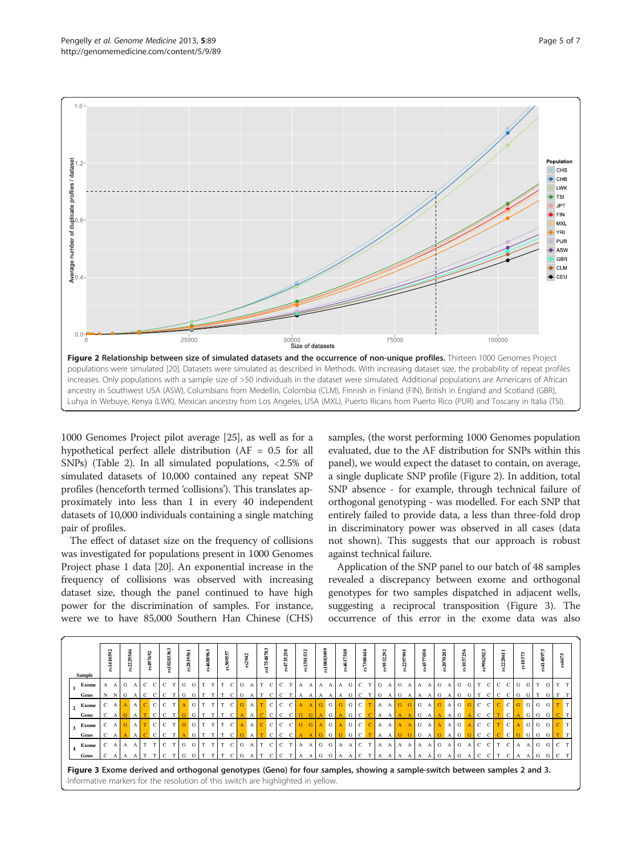

1000 Genomes Project pilot average [\[25\]](#page-6-0), as well as for a hypothetical perfect allele distribution (AF = 0.5 for all SNPs) (Table [2](#page-3-0)). In all simulated populations, <2.5% of simulated datasets of 10,000 contained any repeat SNP profiles (henceforth termed 'collisions'). This translates approximately into less than 1 in every 40 independent datasets of 10,000 individuals containing a single matching pair of profiles.

The effect of dataset size on the frequency of collisions was investigated for populations present in 1000 Genomes Project phase 1 data [[20](#page-6-0)]. An exponential increase in the frequency of collisions was observed with increasing dataset size, though the panel continued to have high power for the discrimination of samples. For instance, were we to have 85,000 Southern Han Chinese (CHS)

samples, (the worst performing 1000 Genomes population evaluated, due to the AF distribution for SNPs within this panel), we would expect the dataset to contain, on average, a single duplicate SNP profile (Figure 2). In addition, total SNP absence - for example, through technical failure of orthogonal genotyping - was modelled. For each SNP that entirely failed to provide data, a less than three-fold drop in discriminatory power was observed in all cases (data not shown). This suggests that our approach is robust against technical failure.

Application of the SNP panel to our batch of 48 samples revealed a discrepancy between exome and orthogonal genotypes for two samples dispatched in adjacent wells, suggesting a reciprocal transposition (Figure 3). The occurrence of this error in the exome data was also

|                                                                                                                                                                                                                                            |  | ಎ<br>s14105 |   | \$2229546 |  | $\mathbf{r}$<br>rs497693 |           | \$1020363 |    | :2819561 |  | rs4688963 |    | rs309557                       |   | s2942 |                      | s17548783     |                 | rs4735258    | \$1381532 |                | s10883099 |             | rs4617548 |         | rs7300444    |           | rs9532292    |                 | s2297995 |            | s4577050    |       |   | rs2070203    |       | rs1037256 | rs962023     |                 |              | :s2228611      |   | $r s10373$ | 87148973 |   | s4675 |  |
|--------------------------------------------------------------------------------------------------------------------------------------------------------------------------------------------------------------------------------------------|--|-------------|---|-----------|--|--------------------------|-----------|-----------|----|----------|--|-----------|----|--------------------------------|---|-------|----------------------|---------------|-----------------|--------------|-----------|----------------|-----------|-------------|-----------|---------|--------------|-----------|--------------|-----------------|----------|------------|-------------|-------|---|--------------|-------|-----------|--------------|-----------------|--------------|----------------|---|------------|----------|---|-------|--|
| Sample                                                                                                                                                                                                                                     |  |             |   |           |  |                          |           |           |    |          |  |           |    |                                |   |       |                      |               |                 |              |           |                |           |             |           |         |              |           |              |                 |          |            |             |       |   |              |       |           |              |                 |              |                |   |            |          |   |       |  |
| <b>Exome</b>                                                                                                                                                                                                                               |  | A A         | G |           |  | $C$ $C$                  |           |           | G  | G        |  |           | T  | C                              |   | G A   | T                    | $\mathbf{C}$  | $C$ T           |              | A A       |                |           | $A \cap A$  |           | A G     | $C$ T        |           |              | G A             | G A      |            |             |       |   | A A G A      | G     | $-$ G +   | T            | $\mathbf{C}$    | $\mathbf{C}$ | <sup>-</sup> C | G | G          |          | G |       |  |
| Geno                                                                                                                                                                                                                                       |  | N N         | G |           |  |                          |           |           | G  | G        |  |           | T  | $\mathcal{C}$                  | G | A     |                      |               | C               |              |           |                |           |             |           | A G     | C T          |           |              | G A             | G A      |            |             | A A I | G |              | G     | G         |              |                 |              |                | G | G          |          |   |       |  |
| <b>Exome</b>                                                                                                                                                                                                                               |  | $C$ A       |   |           |  |                          |           |           |    | $A$ G T  |  |           | T  | C.                             |   |       |                      |               | $G$ A $T$ C C C |              |           | A <sub>b</sub> |           |             |           |         |              |           |              | GGGGCTAA        |          | $G$ $G$    |             |       |   |              |       |           |              | G A G A G G C C |              | c c            |   | $G$ $G$    | G G      |   |       |  |
| Geno                                                                                                                                                                                                                                       |  |             |   |           |  | $\epsilon$               | $\perp$ C | T         |    | G        |  |           | T  | $\mathcal{C}$                  |   |       |                      | $\mathcal{C}$ | $\mathbf{C}$    | $\mathbf{C}$ | G.        |                |           | $A$ $G$     |           | $A \ G$ | $\mathbf{C}$ |           | $\mathbf{A}$ |                 |          |            | G           |       |   | $\mathbf{A}$ | , G ' |           | $\mathbf{C}$ | $\mathcal{C}$   |              | $\mathbf{C}$   |   | G          | G        |   |       |  |
| Exome                                                                                                                                                                                                                                      |  | $C$ A       |   |           |  |                          |           |           | G. | G        |  |           | T  | $\mathbf{C}$                   |   |       | $A \cap C \subset C$ |               | $\mathbf{C}$    | $\mathbf{C}$ | G.        |                |           | $G$ $A$ $G$ |           |         |              | $A$ G C C |              | $A \cdot A$     |          | $A \cap A$ |             | G A   |   | $A \cap A$   | G     |           |              | $C$ $C$         |              | T C            |   | $A$ $G$    | G G      |   |       |  |
| Geno                                                                                                                                                                                                                                       |  |             |   |           |  |                          |           |           |    | G        |  |           | T. | C                              |   |       |                      | $\mathcal{C}$ | $\mathbf{C}$    | C            |           |                |           | $G$ $G$     |           | $G$ $G$ | $\mathbf{C}$ |           | $\mathbf{A}$ |                 | G        | G          | G           |       |   | G A          | G     |           | $\mathbf{C}$ | $\mathcal{C}$   |              | $C$ $C$        |   | $G$ $G$    | G        |   |       |  |
| <b>Exome</b>                                                                                                                                                                                                                               |  | $C$ A       |   | A A       |  | T T                      |           | $C$ T     | G  |          |  |           |    | G[T T]T C[G A]T C[C T]A A[G G] |   |       |                      |               |                 |              |           |                |           |             | A A C T   |         |              |           |              | $A$ $A$ $A$ $A$ |          |            | A A G A G A |       |   |              |       |           |              | $C$ $C$         |              | T C            |   | $A$ $A$    | G G      |   | C T   |  |
| Geno                                                                                                                                                                                                                                       |  |             |   |           |  |                          |           |           | G  |          |  |           |    | $\mathbf{C}$ .                 | G |       |                      |               |                 |              |           |                | G         | G           |           |         |              |           |              |                 |          |            |             |       | G |              | G     |           |              |                 |              |                |   |            |          |   |       |  |
| $\perp$ C<br>$C$ T<br>G G<br>Figure 3 Exome derived and orthogonal genotypes (Geno) for four samples, showing a sample-switch between samples 2 and 3.<br>Informative markers for the resolution of this switch are highlighted in yellow. |  |             |   |           |  |                          |           |           |    |          |  |           |    |                                |   |       |                      |               |                 |              |           |                |           |             |           |         |              |           |              |                 |          |            |             |       |   |              |       |           |              |                 |              |                |   |            |          |   |       |  |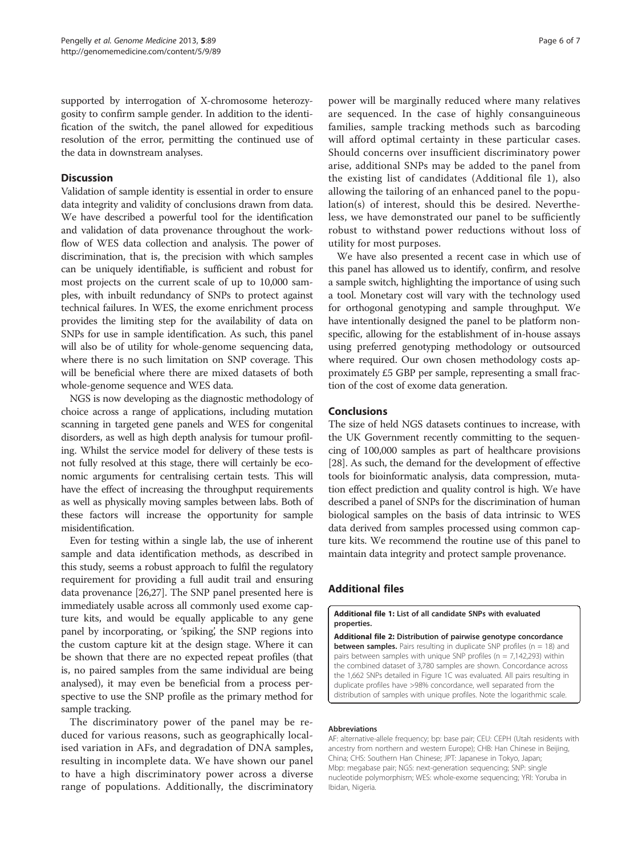<span id="page-5-0"></span>supported by interrogation of X-chromosome heterozygosity to confirm sample gender. In addition to the identification of the switch, the panel allowed for expeditious resolution of the error, permitting the continued use of the data in downstream analyses.

# **Discussion**

Validation of sample identity is essential in order to ensure data integrity and validity of conclusions drawn from data. We have described a powerful tool for the identification and validation of data provenance throughout the workflow of WES data collection and analysis. The power of discrimination, that is, the precision with which samples can be uniquely identifiable, is sufficient and robust for most projects on the current scale of up to 10,000 samples, with inbuilt redundancy of SNPs to protect against technical failures. In WES, the exome enrichment process provides the limiting step for the availability of data on SNPs for use in sample identification. As such, this panel will also be of utility for whole-genome sequencing data, where there is no such limitation on SNP coverage. This will be beneficial where there are mixed datasets of both whole-genome sequence and WES data.

NGS is now developing as the diagnostic methodology of choice across a range of applications, including mutation scanning in targeted gene panels and WES for congenital disorders, as well as high depth analysis for tumour profiling. Whilst the service model for delivery of these tests is not fully resolved at this stage, there will certainly be economic arguments for centralising certain tests. This will have the effect of increasing the throughput requirements as well as physically moving samples between labs. Both of these factors will increase the opportunity for sample misidentification.

Even for testing within a single lab, the use of inherent sample and data identification methods, as described in this study, seems a robust approach to fulfil the regulatory requirement for providing a full audit trail and ensuring data provenance [[26,27\]](#page-6-0). The SNP panel presented here is immediately usable across all commonly used exome capture kits, and would be equally applicable to any gene panel by incorporating, or 'spiking', the SNP regions into the custom capture kit at the design stage. Where it can be shown that there are no expected repeat profiles (that is, no paired samples from the same individual are being analysed), it may even be beneficial from a process perspective to use the SNP profile as the primary method for sample tracking.

The discriminatory power of the panel may be reduced for various reasons, such as geographically localised variation in AFs, and degradation of DNA samples, resulting in incomplete data. We have shown our panel to have a high discriminatory power across a diverse range of populations. Additionally, the discriminatory

power will be marginally reduced where many relatives are sequenced. In the case of highly consanguineous families, sample tracking methods such as barcoding will afford optimal certainty in these particular cases. Should concerns over insufficient discriminatory power arise, additional SNPs may be added to the panel from the existing list of candidates (Additional file 1), also allowing the tailoring of an enhanced panel to the population(s) of interest, should this be desired. Nevertheless, we have demonstrated our panel to be sufficiently robust to withstand power reductions without loss of utility for most purposes.

We have also presented a recent case in which use of this panel has allowed us to identify, confirm, and resolve a sample switch, highlighting the importance of using such a tool. Monetary cost will vary with the technology used for orthogonal genotyping and sample throughput. We have intentionally designed the panel to be platform nonspecific, allowing for the establishment of in-house assays using preferred genotyping methodology or outsourced where required. Our own chosen methodology costs approximately £5 GBP per sample, representing a small fraction of the cost of exome data generation.

# Conclusions

The size of held NGS datasets continues to increase, with the UK Government recently committing to the sequencing of 100,000 samples as part of healthcare provisions [[28](#page-6-0)]. As such, the demand for the development of effective tools for bioinformatic analysis, data compression, mutation effect prediction and quality control is high. We have described a panel of SNPs for the discrimination of human biological samples on the basis of data intrinsic to WES data derived from samples processed using common capture kits. We recommend the routine use of this panel to maintain data integrity and protect sample provenance.

# Additional files

#### [Additional file 1:](http://www.biomedcentral.com/content/supplementary/gm492-S1.csv) List of all candidate SNPs with evaluated properties.

[Additional file 2:](http://www.biomedcentral.com/content/supplementary/gm492-S2.pdf) Distribution of pairwise genotype concordance **between samples.** Pairs resulting in duplicate SNP profiles ( $n = 18$ ) and pairs between samples with unique SNP profiles ( $n = 7,142,293$ ) within the combined dataset of 3,780 samples are shown. Concordance across the 1,662 SNPs detailed in Figure [1C](#page-2-0) was evaluated. All pairs resulting in duplicate profiles have >98% concordance, well separated from the distribution of samples with unique profiles. Note the logarithmic scale.

#### Abbreviations

AF: alternative-allele frequency; bp: base pair; CEU: CEPH (Utah residents with ancestry from northern and western Europe); CHB: Han Chinese in Beijing, China; CHS: Southern Han Chinese; JPT: Japanese in Tokyo, Japan; Mbp: megabase pair; NGS: next-generation sequencing; SNP: single nucleotide polymorphism; WES: whole-exome sequencing; YRI: Yoruba in Ibidan, Nigeria.